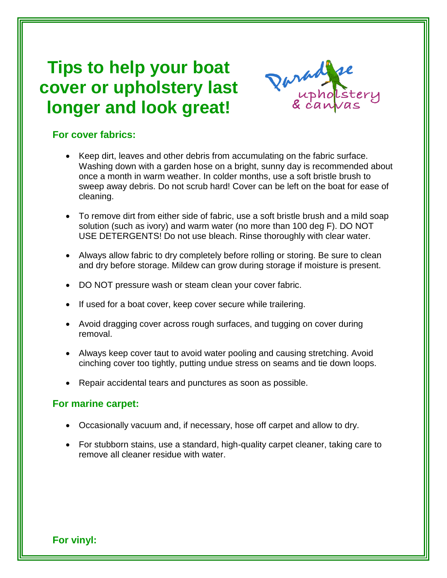## **Tips to help your boat cover or upholstery last longer and look great!**



## **For cover fabrics:**

- Keep dirt, leaves and other debris from accumulating on the fabric surface. Washing down with a garden hose on a bright, sunny day is recommended about once a month in warm weather. In colder months, use a soft bristle brush to sweep away debris. Do not scrub hard! Cover can be left on the boat for ease of cleaning.
- To remove dirt from either side of fabric, use a soft bristle brush and a mild soap solution (such as ivory) and warm water (no more than 100 deg F). DO NOT USE DETERGENTS! Do not use bleach. Rinse thoroughly with clear water.
- Always allow fabric to dry completely before rolling or storing. Be sure to clean and dry before storage. Mildew can grow during storage if moisture is present.
- DO NOT pressure wash or steam clean your cover fabric.
- If used for a boat cover, keep cover secure while trailering.
- Avoid dragging cover across rough surfaces, and tugging on cover during removal.
- Always keep cover taut to avoid water pooling and causing stretching. Avoid cinching cover too tightly, putting undue stress on seams and tie down loops.
- Repair accidental tears and punctures as soon as possible.

## **For marine carpet:**

- Occasionally vacuum and, if necessary, hose off carpet and allow to dry.
- For stubborn stains, use a standard, high-quality carpet cleaner, taking care to remove all cleaner residue with water.

**For vinyl:**